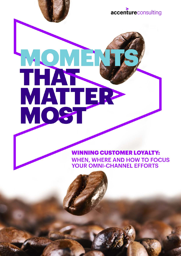# HATHER<br>MATTER

### **WINNING CUSTOMER LOYALTY: WHEN, WHERE AND HOW TO FOCUS YOUR OMNI-CHANNEL EFFORTS**

accentureconsulting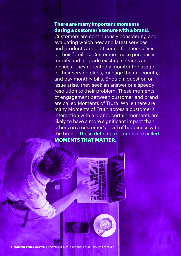### **There are many important moments during a customer's tenure with a brand.**

Customers are continuously considering and evaluating which new and latest services and products are best suited for themselves or their families. Customers make purchases, modify and upgrade existing services and devices. They repeatedly monitor the usage of their service plans, manage their accounts, and pay monthly bills. Should a question or issue arise, they seek an answer or a speedy resolution to their problem. These moments of engagement between customer and brand are called Moments of Truth. While there are many Moments of Truth across a customer's interaction with a brand, certain moments are likely to have a more significant impact than others on a customer's level of happiness with the brand. These defining moments are called **MOMENTS THAT MATTER.**



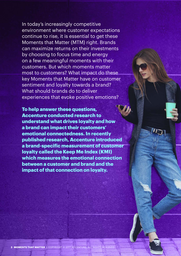In today's increasingly competitive environment where customer expectations continue to rise, it is essential to get these Moments that Matter (MTM) right. Brands can maximize returns on their investments by choosing to focus time and energy on a few meaningful moments with their customers. But which moments matter most to customers? What impact do these key Moments that Matter have on customer sentiment and loyalty towards a brand? What should brands do to deliver experiences that evoke positive emotions?

**To help answer these questions, Accenture conducted research to understand what drives loyalty and how a brand can impact their customers' emotional connectedness. In recently published research, Accenture introduced a brand-specific measurement of customer loyalty called the Keep Me Index (KMI) which measures the emotional connection between a customer and brand and the impact of that connection on loyalty.** 

**3 MOMENTS THAT MATTER |** COPYRIGHT © 2017 ACCENTURE. ALL RIGHTS RESERVED.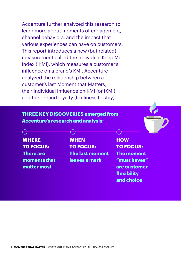Accenture further analyzed this research to learn more about moments of engagement, channel behaviors, and the impact that various experiences can have on customers. This report introduces a new (but related) measurement called the Individual Keep Me Index (iKMI), which measures a customer's influence on a brand's KMI. Accenture analyzed the relationship between a customer's last Moment that Matters, their individual influence on KMI (or iKMI), and their brand loyalty (likeliness to stay).

### **THREE KEY DISCOVERIES emerged from Accenture's research and analysis:**

**WHERE TO FOCUS: There are moments that matter most** 

**WHEN TO FOCUS: The last moment leaves a mark** 

**HOW TO FOCUS: The moment "must haves" are customer flexibility and choice**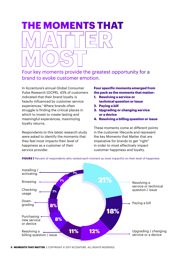## **THE MOMENTS THAT**

Four key moments provide the greatest opportunity for a brand to evoke customer emotion.

In Accenture's annual Global Consumer Pulse Research (GCPR), 43% of customers indicated that their brand loyalty is heavily influenced by customer service experiences.1 Where brands often struggle is finding the critical places in which to invest to create lasting and meaningful experiences, maximizing loyalty returns.

Respondents to this latest research study were asked to identify the moments that they feel most impacts their level of happiness as a customer of their service provider.

### **Four specific moments emerged from the pack as the moments that matter:**

- **1. Resolving a service or technical question or issue**
- **2. Paying a bill**
- **3. Upgrading or changing service or a device**
- **4. Resolving a billing question or issue**

These moments come at different points in the customer lifecycle and represent the key Moments that Matter that are imperative for brands to get "right" in order to most effectively impact customer happiness and loyalty.



**FIGURE 1** Percent of respondents who ranked each moment as most impactful on their level of happiness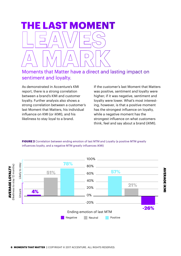### **E LAST MOMENT**

### Moments that Matter have a direct and lasting impact on sentiment and loyalty.

As demonstrated in Accenture's KMI report, there is a strong correlation between a brand's KMI and customer loyalty. Further analysis also shows a strong correlation between a customer's last Moment that Matters, his individual influence on KMI (or iKMI), and his likeliness to stay loyal to a brand.

If the customer's last Moment that Matters was positive, sentiment and loyalty were higher; if it was negative, sentiment and loyalty were lower. What's most interesting, however, is that a positive moment has the strongest influence on loyalty, while a negative moment has the strongest influence on what customers think, feel and say about a brand (iKMI).

### **FIGURE 2** Correlation between ending emotion of last MTM and Loyalty (a positive MTM greatly influences loyalty, and a negative MTM greatly influences iKMI) **emotion of last MTM and Loyalty**



**6 MOMENTS THAT MATTER |** COPYRIGHT © 2017 ACCENTURE. ALL RIGHTS RESERVED.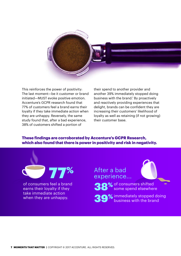

This reinforces the power of positivity: The last moment—be it customer or brand initiated—MUST evoke positive emotion. Accenture's GCPR research found that 77% of customers feel a brand earns their loyalty if they take immediate action when they are unhappy. Reversely, the same study found that, after a bad experience, 38% of customers shifted a portion of

their spend to another provider and another 39% immediately stopped doing business with the brand.<sup>1</sup> By proactively and reactively providing experiences that delight, brands can be confident they are increasing their customers' likelihood of loyalty as well as retaining (if not growing) their customer base.

### **These findings are corroborated by Accenture's GCPR Research, which also found that there is power in positivity and risk in negativity.**



of consumers feel a brand earns their loyalty if they take immediate action when they are unhappy.

After a bad experience...

38% of consumers shifted<br>
S8% some spend elsewher some spend elsewhere

39% immediately stopped doing<br>business with the brand business with the brand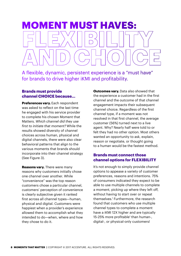### **MOMENT MUST HAVES:**

A flexible, dynamic, persistent experience is a "must have" for brands to drive higher iKMI and profitability.

### **Brands must provide channel CHOICE because...**

**Preferences vary.** Each respondent was asked to reflect on the last time he engaged with his service provider to complete his chosen Moment that Matters. *Which channel did they use first to initiate that moment?* While the results showed diversity of channel choices across human, physical and digital channels, there were also clear behavioral patterns that align to the various moments that brands should incorporate into their channel strategy (See Figure 3).

**Reasons vary.** There were many reasons why customers initially chose one channel over another. While "convenience" was the top reason customers chose a particular channel, customers' perception of convenience is clearly subjective given it ranked first across all channel types—human, physical and digital. Customers were happiest when a provider's experience allowed them to accomplish what they intended to do—when, where and how they chose to do it.

**Outcomes vary.** Data also showed that the experience a customer had in the first channel and the outcome of that channel engagement impacts their subsequent channel choice. Regardless of the first channel type, if a moment was not resolved in that first channel, the average customer (56%) turned next to a live agent. Why? Nearly half were told to or felt they had no other option. Most others wanted an opportunity to ask, explain, reason or negotiate, or thought going to a human would be the fastest method.

### **Brands must connect those channel options for FLEXIBILITY**

It's not enough to simply provide channel options to appease a variety of customer preferences, reasons and intentions. 75% of consumers indicated they expect to be able to use multiple channels to complete a moment, picking up where they left off, without having to start over or repeat themselves.1 Furthermore, the research found that customers who use multiple channel types to complete a moment have a iKMI 12X higher and are typically 15-25% more profitable<sup>1</sup> than human-, digital-, or physical-only customers!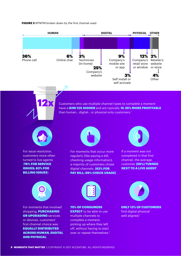### **FIGURE 3** MTMTM broken down by the first channel used



Customers who use multiple channel types to complete a moment have a *iKMI 12X HIGHER* and are typically 15-25% MORE PROFITABLE than human-, digital-, or physical-only customers.<sup>1</sup>



For issue resolution, customers more often turned to live agents (76% FOR SERVICE ISSUES; 83% FOR BILLING ISSUES).



For moments that occur more regularly (like paying a bill, checking usage information), a majority of customers chose digital channels. (62% FOR PAY BILL; 69% CHECK USAGE)



If a moment was not completed in that first channel, the average customer (56%) TURNED NEXT TO A LIVE AGENT.



For moments that involved shopping, **PURCHASING** OR UPGRADING services or devices, customers' first channel choice was EQUALLY DISTRIBUTED ACROSS HUMAN, DIGITAL AND PHYSICAL.



75% OF CONSUMERS **EXPECT** to be able to use multiple channels to complete a moment, picking up where they left off, without having to start over or repeat themselves.<sup>1</sup>



ONLY 13% OF CUSTOMERS find digital-physical well aligned.<sup>1</sup>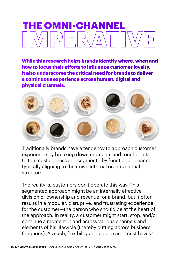### **THE OMNI-CHANNEL**

**While this research helps brands identify where, when and how to focus their efforts to influence customer loyalty, it also underscores the critical need for brands to deliver a continuous experience across human, digital and physical channels.** 



Traditionally brands have a tendency to approach customer experience by breaking down moments and touchpoints to the most addressable segment—by function or channel, typically aligning to their own internal organizational structure.

The reality is, customers don't operate this way. This segmented approach might be an internally effective division of ownership and revenue for a brand, but it often results in a modular, disruptive, and frustrating experience for the customer—the person who should be at the heart of the approach. In reality, a customer might start, stop, and/or continue a moment in and across various channels and elements of his lifecycle (thereby cutting across business functions). As such, flexibility and choice are "must haves."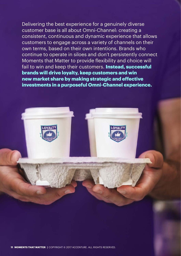Delivering the best experience for a genuinely diverse customer base is all about Omni-Channel: creating a consistent, continuous and dynamic experience that allows customers to engage across a variety of channels on their own terms, based on their own intentions. Brands who continue to operate in siloes and don't persistently connect Moments that Matter to provide flexibility and choice will fail to win and keep their customers. **Instead, successful brands will drive loyalty, keep customers and win new market share by making strategic and effective investments in a purposeful Omni-Channel experience.** 



**11 MOMENTS THAT MATTER |** COPYRIGHT © 2017 ACCENTURE. ALL RIGHTS RESERVED.